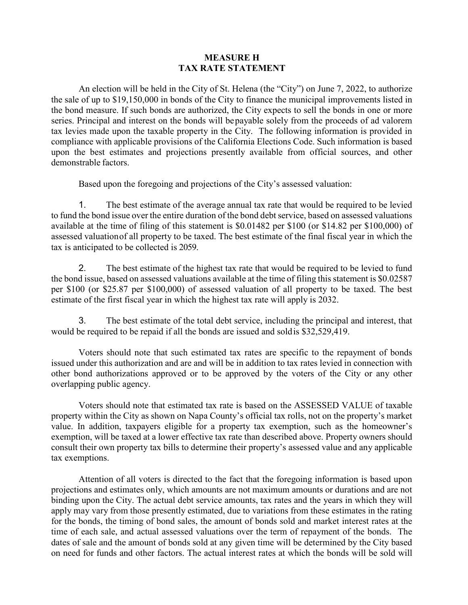## **MEASURE H TAX RATE STATEMENT**

An election will be held in the City of St. Helena (the "City") on June 7, 2022, to authorize the sale of up to \$19,150,000 in bonds of the City to finance the municipal improvements listed in the bond measure. If such bonds are authorized, the City expects to sell the bonds in one or more series. Principal and interest on the bonds will bepayable solely from the proceeds of ad valorem tax levies made upon the taxable property in the City. The following information is provided in compliance with applicable provisions of the California Elections Code. Such information is based upon the best estimates and projections presently available from official sources, and other demonstrable factors.

Based upon the foregoing and projections of the City's assessed valuation:

1. The best estimate of the average annual tax rate that would be required to be levied to fund the bond issue over the entire duration of the bond debt service, based on assessed valuations available at the time of filing of this statement is \$0.01482 per \$100 (or \$14.82 per \$100,000) of assessed valuationof all property to be taxed. The best estimate of the final fiscal year in which the tax is anticipated to be collected is 2059.

2. The best estimate of the highest tax rate that would be required to be levied to fund the bond issue, based on assessed valuations available at the time of filing this statement is \$0.02587 per \$100 (or \$25.87 per \$100,000) of assessed valuation of all property to be taxed. The best estimate of the first fiscal year in which the highest tax rate will apply is 2032.

3. The best estimate of the total debt service, including the principal and interest, that would be required to be repaid if all the bonds are issued and soldis \$32,529,419.

Voters should note that such estimated tax rates are specific to the repayment of bonds issued under this authorization and are and will be in addition to tax rates levied in connection with other bond authorizations approved or to be approved by the voters of the City or any other overlapping public agency.

Voters should note that estimated tax rate is based on the ASSESSED VALUE of taxable property within the City as shown on Napa County's official tax rolls, not on the property's market value. In addition, taxpayers eligible for a property tax exemption, such as the homeowner's exemption, will be taxed at a lower effective tax rate than described above. Property owners should consult their own property tax bills to determine their property's assessed value and any applicable tax exemptions.

Attention of all voters is directed to the fact that the foregoing information is based upon projections and estimates only, which amounts are not maximum amounts or durations and are not binding upon the City. The actual debt service amounts, tax rates and the years in which they will apply may vary from those presently estimated, due to variations from these estimates in the rating for the bonds, the timing of bond sales, the amount of bonds sold and market interest rates at the time of each sale, and actual assessed valuations over the term of repayment of the bonds. The dates of sale and the amount of bonds sold at any given time will be determined by the City based on need for funds and other factors. The actual interest rates at which the bonds will be sold will